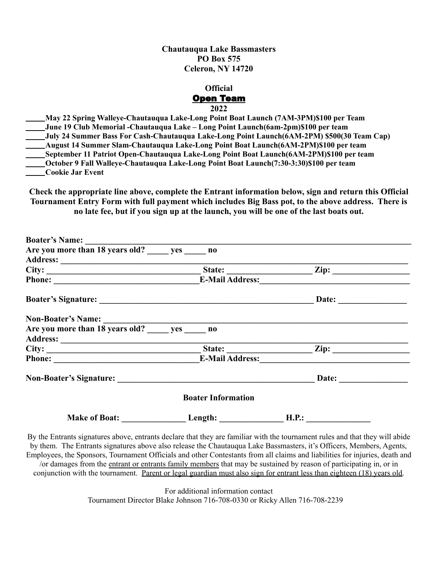**Chautauqua Lake Bassmasters PO Box 575 Celeron, NY 14720**

## **Official** Open Team **2022**

**May 22 Spring Walleye-Chautauqua Lake-Long Point Boat Launch (7AM-3PM)\$100 per Team June 19 Club Memorial -Chautauqua Lake – Long Point Launch(6am-2pm)\$100 per team July 24 Summer Bass For Cash-Chautauqua Lake-Long Point Launch(6AM-2PM) \$500(30 Team Cap) August 14 Summer Slam-Chautauqua Lake-Long Point Boat Launch(6AM-2PM)\$100 per team September 11 Patriot Open-Chautauqua Lake-Long Point Boat Launch(6AM-2PM)\$100 per team October 9 Fall Walleye-Chautauqua Lake-Long Point Boat Launch(7:30-3:30)\$100 per team Cookie Jar Event**

**Check the appropriate line above, complete the Entrant information below, sign and return this Official Tournament Entry Form with full payment which includes Big Bass pot, to the above address. There is no late fee, but if you sign up at the launch, you will be one of the last boats out.**

| Are you more than 18 years old? yes no                                                                                                                                                                                               |                           |                       |
|--------------------------------------------------------------------------------------------------------------------------------------------------------------------------------------------------------------------------------------|---------------------------|-----------------------|
| Address: <u>Charles Charles Charles Charles Charles Charles Charles Charles Charles Charles Charles Charles Charles Charles Charles Charles Charles Charles Charles Charles Charles Charles Charles Charles Charles Charles Char</u> |                           |                       |
|                                                                                                                                                                                                                                      |                           |                       |
|                                                                                                                                                                                                                                      |                           |                       |
|                                                                                                                                                                                                                                      |                           | Date: $\qquad \qquad$ |
|                                                                                                                                                                                                                                      |                           |                       |
|                                                                                                                                                                                                                                      |                           |                       |
|                                                                                                                                                                                                                                      |                           |                       |
|                                                                                                                                                                                                                                      |                           |                       |
| Phone: E-Mail Address:                                                                                                                                                                                                               |                           |                       |
|                                                                                                                                                                                                                                      |                           |                       |
|                                                                                                                                                                                                                                      | <b>Boater Information</b> |                       |
|                                                                                                                                                                                                                                      |                           |                       |
| nd marshall the and the dead of the total and the control to the control of the control of the control of the control of the control of the control of the control of the control of the control of the control of the control       |                           |                       |

By the Entrants signatures above, entrants declare that they are familiar with the tournament rules and that they will abide by them. The Entrants signatures above also release the Chautauqua Lake Bassmasters, it's Officers, Members, Agents, Employees, the Sponsors, Tournament Officials and other Contestants from all claims and liabilities for injuries, death and /or damages from the entrant or entrants family members that may be sustained by reason of participating in, or in conjunction with the tournament. Parent or legal guardian must also sign for entrant less than eighteen (18) years old.

> For additional information contact Tournament Director Blake Johnson 716-708-0330 or Ricky Allen 716-708-2239